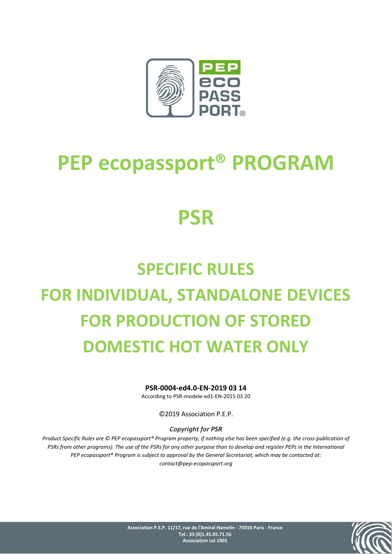

# **PEP ecopassport® PROGRAM**

# **PSR**

# **SPECIFIC RULES FOR INDIVIDUAL, STANDALONE DEVICES FOR PRODUCTION OF STORED DOMESTIC HOT WATER ONLY**

**PSR-0004-ed4.0-EN-2019 03 14** 

According to PSR-modele-ed1-EN-2015 03 20

©2019 Association P.E.P.

#### *Copyright for PSR*

*Product Specific Rules are © PEP ecopassport® Program property, if nothing else has been specified (e.g. the cross-publication of PSRs from other programs). The use of the PSRs for any other purpose than to develop and register PEPs in the International PEP ecopassport® Program is subject to approval by the General Secretariat, which may be contacted at: contact@pep-ecopassport.org*



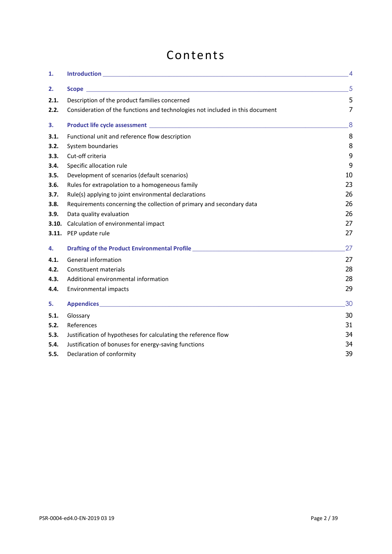# Contents

| 1.    |                                                                                                                                                                                                                                      | $\overline{4}$ |
|-------|--------------------------------------------------------------------------------------------------------------------------------------------------------------------------------------------------------------------------------------|----------------|
| 2.    |                                                                                                                                                                                                                                      | 5              |
| 2.1.  | Description of the product families concerned                                                                                                                                                                                        | 5              |
| 2.2.  | Consideration of the functions and technologies not included in this document                                                                                                                                                        | $\overline{7}$ |
| 3.    |                                                                                                                                                                                                                                      | 8              |
| 3.1.  | Functional unit and reference flow description                                                                                                                                                                                       | 8              |
| 3.2.  | System boundaries                                                                                                                                                                                                                    | 8              |
| 3.3.  | Cut-off criteria                                                                                                                                                                                                                     | 9              |
| 3.4.  | Specific allocation rule                                                                                                                                                                                                             | 9              |
| 3.5.  | Development of scenarios (default scenarios)                                                                                                                                                                                         | 10             |
| 3.6.  | Rules for extrapolation to a homogeneous family                                                                                                                                                                                      | 23             |
| 3.7.  | Rule(s) applying to joint environmental declarations                                                                                                                                                                                 | 26             |
| 3.8.  | Requirements concerning the collection of primary and secondary data                                                                                                                                                                 | 26             |
| 3.9.  | Data quality evaluation                                                                                                                                                                                                              | 26             |
| 3.10. | Calculation of environmental impact                                                                                                                                                                                                  | 27             |
| 3.11. | PEP update rule                                                                                                                                                                                                                      | 27             |
| 4.    | Drafting of the Product Environmental Profile <b>Contract Contract Contract Contract Contract Contract Contract Contract Contract Contract Contract Contract Contract Contract Contract Contract Contract Contract Contract Cont</b> | 27             |
| 4.1.  | General information                                                                                                                                                                                                                  | 27             |
| 4.2.  | Constituent materials                                                                                                                                                                                                                | 28             |
| 4.3.  | Additional environmental information                                                                                                                                                                                                 | 28             |
| 4.4.  | Environmental impacts                                                                                                                                                                                                                | 29             |
| 5.    |                                                                                                                                                                                                                                      | 30             |
| 5.1.  | Glossary                                                                                                                                                                                                                             | 30             |
| 5.2.  | References                                                                                                                                                                                                                           | 31             |
| 5.3.  | Justification of hypotheses for calculating the reference flow                                                                                                                                                                       | 34             |
| 5.4.  | Justification of bonuses for energy-saving functions                                                                                                                                                                                 | 34             |
| 5.5.  | Declaration of conformity                                                                                                                                                                                                            | 39             |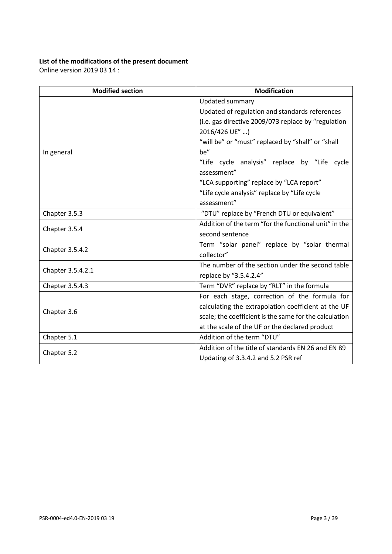# **List of the modifications of the present document**

Online version 2019 03 14 :

| <b>Modification</b><br><b>Modified section</b> |                                                        |  |  |
|------------------------------------------------|--------------------------------------------------------|--|--|
|                                                | Updated summary                                        |  |  |
|                                                | Updated of regulation and standards references         |  |  |
|                                                | (i.e. gas directive 2009/073 replace by "regulation    |  |  |
|                                                | 2016/426 UE" )                                         |  |  |
|                                                | "will be" or "must" replaced by "shall" or "shall      |  |  |
| In general                                     | be"                                                    |  |  |
|                                                | "Life cycle analysis" replace by "Life cycle           |  |  |
|                                                | assessment"                                            |  |  |
|                                                | "LCA supporting" replace by "LCA report"               |  |  |
|                                                | "Life cycle analysis" replace by "Life cycle           |  |  |
|                                                | assessment"                                            |  |  |
| Chapter 3.5.3                                  | "DTU" replace by "French DTU or equivalent"            |  |  |
|                                                | Addition of the term "for the functional unit" in the  |  |  |
| Chapter 3.5.4                                  | second sentence                                        |  |  |
|                                                | Term "solar panel" replace by "solar thermal           |  |  |
| Chapter 3.5.4.2                                | collector"                                             |  |  |
|                                                | The number of the section under the second table       |  |  |
| Chapter 3.5.4.2.1                              | replace by "3.5.4.2.4"                                 |  |  |
| Chapter 3.5.4.3                                | Term "DVR" replace by "RLT" in the formula             |  |  |
|                                                | For each stage, correction of the formula for          |  |  |
|                                                | calculating the extrapolation coefficient at the UF    |  |  |
| Chapter 3.6                                    | scale; the coefficient is the same for the calculation |  |  |
|                                                | at the scale of the UF or the declared product         |  |  |
| Chapter 5.1                                    | Addition of the term "DTU"                             |  |  |
|                                                | Addition of the title of standards EN 26 and EN 89     |  |  |
| Chapter 5.2                                    | Updating of 3.3.4.2 and 5.2 PSR ref                    |  |  |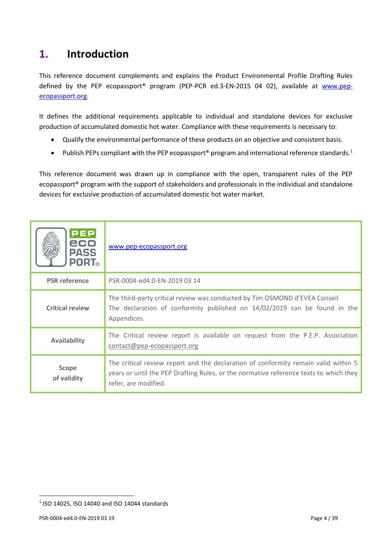# <span id="page-3-0"></span>**1. Introduction**

This reference document complements and explains the Product Environmental Profile Drafting Rules defined by the PEP ecopassport<sup>®</sup> program (PEP-PCR ed.3-EN-2015 04 02), available at [www.pep](http://www.pep-ecopassport.org/)[ecopassport.org.](http://www.pep-ecopassport.org/)

It defines the additional requirements applicable to individual and standalone devices for exclusive production of accumulated domestic hot water. Compliance with these requirements is necessary to:

- Qualify the environmental performance of these products on an objective and consistent basis.
- Publish PEPs compliant with the PEP ecopassport<sup>®</sup> program and international reference standards.<sup>1</sup>

This reference document was drawn up in compliance with the open, transparent rules of the PEP ecopassport® program with the support of stakeholders and professionals in the individual and standalone devices for exclusive production of accumulated domestic hot water market.

| <b>PEP</b><br>eco<br><b>PASS</b><br><b>PORT</b> ® | www.pep-ecopassport.org                                                                                                                                                                             |
|---------------------------------------------------|-----------------------------------------------------------------------------------------------------------------------------------------------------------------------------------------------------|
| <b>PSR</b> reference                              | PSR-0004-ed4.0-EN-2019 03 14                                                                                                                                                                        |
| <b>Critical review</b>                            | The third-party critical review was conducted by Tim OSMOND d'EVEA Conseil<br>The declaration of conformity published on 14/02/2019 can be found in the<br>Appendices.                              |
| <b>Availability</b>                               | The Critical review report is available on request from the P.E.P. Association<br>contact@pep-ecopassport.org                                                                                       |
| <b>Scope</b><br>of validity                       | The critical review report and the declaration of conformity remain valid within 5<br>years or until the PEP Drafting Rules, or the normative reference texts to which they<br>refer, are modified. |

 $\overline{a}$ 

<sup>1</sup> ISO 14025, ISO 14040 and ISO 14044 standards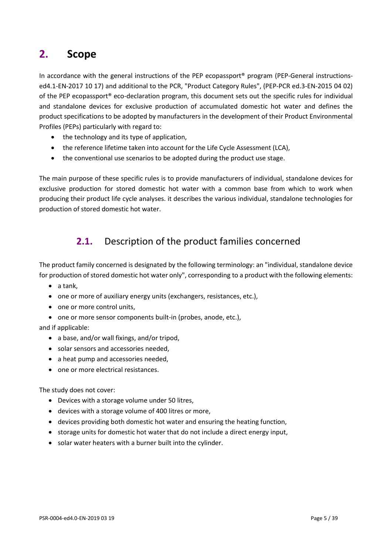# <span id="page-4-0"></span>**2. Scope**

In accordance with the general instructions of the PEP ecopassport<sup>®</sup> program (PEP-General instructionsed4.1-EN-2017 10 17) and additional to the PCR, "Product Category Rules", (PEP-PCR ed.3-EN-2015 04 02) of the PEP ecopassport® eco-declaration program, this document sets out the specific rules for individual and standalone devices for exclusive production of accumulated domestic hot water and defines the product specifications to be adopted by manufacturers in the development of their Product Environmental Profiles (PEPs) particularly with regard to:

- the technology and its type of application,
- the reference lifetime taken into account for the Life Cycle Assessment (LCA),
- the conventional use scenarios to be adopted during the product use stage.

<span id="page-4-1"></span>The main purpose of these specific rules is to provide manufacturers of individual, standalone devices for exclusive production for stored domestic hot water with a common base from which to work when producing their product life cycle analyses. it describes the various individual, standalone technologies for production of stored domestic hot water.

# **2.1.** Description of the product families concerned

The product family concerned is designated by the following terminology: an "individual, standalone device for production of stored domestic hot water only", corresponding to a product with the following elements:

- a tank,
- one or more of auxiliary energy units (exchangers, resistances, etc.),
- one or more control units,
- one or more sensor components built-in (probes, anode, etc.),

and if applicable:

- a base, and/or wall fixings, and/or tripod,
- solar sensors and accessories needed,
- a heat pump and accessories needed,
- one or more electrical resistances.

The study does not cover:

- Devices with a storage volume under 50 litres,
- devices with a storage volume of 400 litres or more,
- devices providing both domestic hot water and ensuring the heating function,
- storage units for domestic hot water that do not include a direct energy input,
- solar water heaters with a burner built into the cylinder.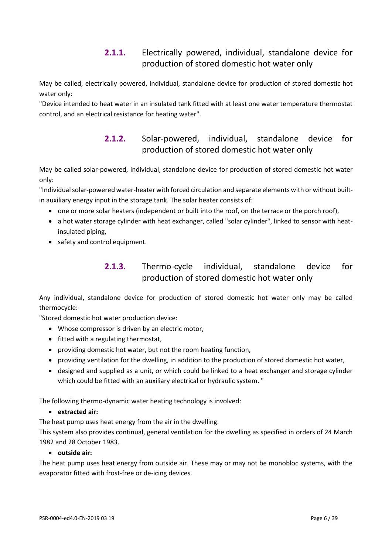### **2.1.1.** Electrically powered, individual, standalone device for production of stored domestic hot water only

May be called, electrically powered, individual, standalone device for production of stored domestic hot water only:

"Device intended to heat water in an insulated tank fitted with at least one water temperature thermostat control, and an electrical resistance for heating water".

# **2.1.2.** Solar-powered, individual, standalone device for production of stored domestic hot water only

May be called solar-powered, individual, standalone device for production of stored domestic hot water only:

"Individual solar-powered water-heater with forced circulation and separate elements with or without builtin auxiliary energy input in the storage tank. The solar heater consists of:

- one or more solar heaters (independent or built into the roof, on the terrace or the porch roof),
- a hot water storage cylinder with heat exchanger, called "solar cylinder", linked to sensor with heatinsulated piping,
- safety and control equipment.

### **2.1.3.** Thermo-cycle individual, standalone device for production of stored domestic hot water only

Any individual, standalone device for production of stored domestic hot water only may be called thermocycle:

"Stored domestic hot water production device:

- Whose compressor is driven by an electric motor,
- fitted with a regulating thermostat,
- providing domestic hot water, but not the room heating function,
- providing ventilation for the dwelling, in addition to the production of stored domestic hot water,
- designed and supplied as a unit, or which could be linked to a heat exchanger and storage cylinder which could be fitted with an auxiliary electrical or hydraulic system. "

The following thermo-dynamic water heating technology is involved:

• **extracted air:**

The heat pump uses heat energy from the air in the dwelling.

This system also provides continual, general ventilation for the dwelling as specified in orders of 24 March 1982 and 28 October 1983.

• **outside air:**

The heat pump uses heat energy from outside air. These may or may not be monobloc systems, with the evaporator fitted with frost-free or de-icing devices.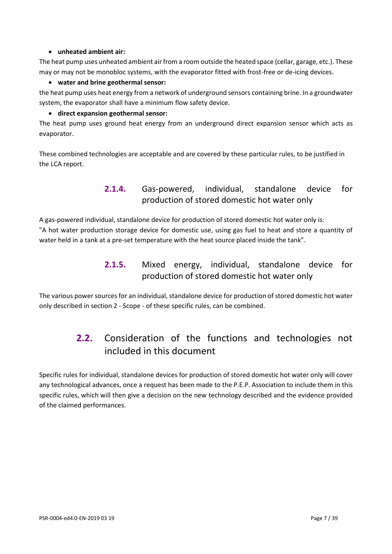#### • **unheated ambient air:**

The heat pump uses unheated ambient air from a room outside the heated space (cellar, garage, etc.). These may or may not be monobloc systems, with the evaporator fitted with frost-free or de-icing devices.

#### • **water and brine geothermal sensor:**

the heat pump uses heat energy from a network of underground sensors containing brine. In a groundwater system, the evaporator shall have a minimum flow safety device.

#### • **direct expansion geothermal sensor:**

The heat pump uses ground heat energy from an underground direct expansion sensor which acts as evaporator.

These combined technologies are acceptable and are covered by these particular rules, to be justified in the LCA report.

### **2.1.4.** Gas-powered, individual, standalone device for production of stored domestic hot water only

A gas-powered individual, standalone device for production of stored domestic hot water only is: "A hot water production storage device for domestic use, using gas fuel to heat and store a quantity of water held in a tank at a pre-set temperature with the heat source placed inside the tank".

### **2.1.5.** Mixed energy, individual, standalone device for production of stored domestic hot water only

<span id="page-6-0"></span>The various power sources for an individual, standalone device for production of stored domestic hot water only described in section 2 - Scope - of these specific rules, can be combined.

# **2.2.** Consideration of the functions and technologies not included in this document

Specific rules for individual, standalone devices for production of stored domestic hot water only will cover any technological advances, once a request has been made to the P.E.P. Association to include them in this specific rules, which will then give a decision on the new technology described and the evidence provided of the claimed performances.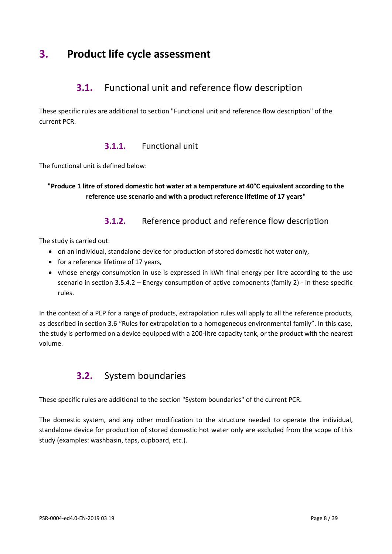# <span id="page-7-1"></span><span id="page-7-0"></span>**3. Product life cycle assessment**

# **3.1.** Functional unit and reference flow description

These specific rules are additional to section "Functional unit and reference flow description" of the current PCR.

### **3.1.1.** Functional unit

The functional unit is defined below:

**"Produce 1 litre of stored domestic hot water at a temperature at 40°C equivalent according to the reference use scenario and with a product reference lifetime of 17 years"**

### **3.1.2.** Reference product and reference flow description

The study is carried out:

- on an individual, standalone device for production of stored domestic hot water only,
- for a reference lifetime of 17 years,
- whose energy consumption in use is expressed in kWh final energy per litre according to the use scenario in section 3.5.4.2 – Energy consumption of active components (family 2) - in these specific rules.

<span id="page-7-2"></span>In the context of a PEP for a range of products, extrapolation rules will apply to all the reference products, as described in section 3.6 "Rules for extrapolation to a homogeneous environmental family". In this case, the study is performed on a device equipped with a 200-litre capacity tank, or the product with the nearest volume.

# **3.2.** System boundaries

These specific rules are additional to the section "System boundaries" of the current PCR.

The domestic system, and any other modification to the structure needed to operate the individual, standalone device for production of stored domestic hot water only are excluded from the scope of this study (examples: washbasin, taps, cupboard, etc.).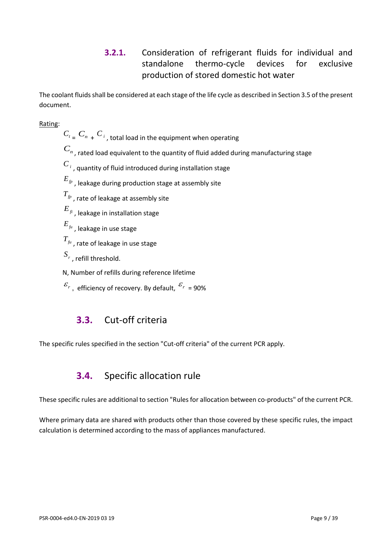# **3.2.1.** Consideration of refrigerant fluids for individual and standalone thermo-cycle devices for exclusive production of stored domestic hot water

The coolant fluids shall be considered at each stage of the life cycle as described in Section 3.5 of the present document.

Rating:

- $C_{t}$ <sub> $=$ </sub>  $C_{n}$   $+$   $C_{i}$ <sub>,</sub> total load in the equipment when operating
- $C_n$ , rated load equivalent to the quantity of fluid added during manufacturing stage
- $C_{i}$  , quantity of fluid introduced during installation stage
- *Efp* , leakage during production stage at assembly site
- *Tfp* , rate of leakage at assembly site
- *Efi* , leakage in installation stage
- *Efu* , leakage in use stage
- *Tfu* , rate of leakage in use stage
- $S_r$  , refill threshold.
- N, Number of refills during reference lifetime
- <span id="page-8-0"></span> $\mathcal{E}_r$  , efficiency of recovery. By default,  $\mathcal{E}_r$  = 90%

# **3.3.** Cut-off criteria

<span id="page-8-1"></span>The specific rules specified in the section "Cut-off criteria" of the current PCR apply.

# **3.4.** Specific allocation rule

These specific rules are additional to section "Rules for allocation between co-products" of the current PCR.

Where primary data are shared with products other than those covered by these specific rules, the impact calculation is determined according to the mass of appliances manufactured.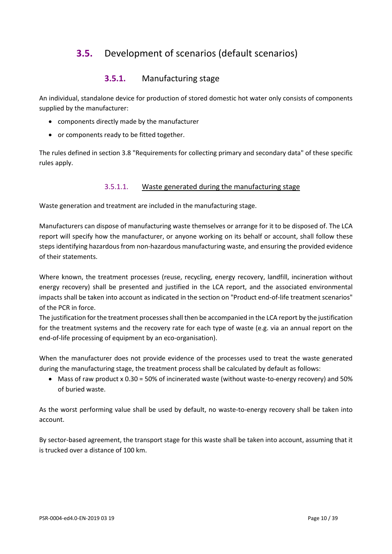# <span id="page-9-0"></span>**3.5.** Development of scenarios (default scenarios)

### **3.5.1.** Manufacturing stage

An individual, standalone device for production of stored domestic hot water only consists of components supplied by the manufacturer:

- components directly made by the manufacturer
- or components ready to be fitted together.

The rules defined in section 3.8 "Requirements for collecting primary and secondary data" of these specific rules apply.

#### 3.5.1.1. Waste generated during the manufacturing stage

Waste generation and treatment are included in the manufacturing stage.

Manufacturers can dispose of manufacturing waste themselves or arrange for it to be disposed of. The LCA report will specify how the manufacturer, or anyone working on its behalf or account, shall follow these steps identifying hazardous from non-hazardous manufacturing waste, and ensuring the provided evidence of their statements.

Where known, the treatment processes (reuse, recycling, energy recovery, landfill, incineration without energy recovery) shall be presented and justified in the LCA report, and the associated environmental impacts shall be taken into account as indicated in the section on "Product end-of-life treatment scenarios" of the PCR in force.

The justification for the treatment processes shall then be accompanied in the LCA report by the justification for the treatment systems and the recovery rate for each type of waste (e.g. via an annual report on the end-of-life processing of equipment by an eco-organisation).

When the manufacturer does not provide evidence of the processes used to treat the waste generated during the manufacturing stage, the treatment process shall be calculated by default as follows:

• Mass of raw product x 0.30 = 50% of incinerated waste (without waste-to-energy recovery) and 50% of buried waste.

As the worst performing value shall be used by default, no waste-to-energy recovery shall be taken into account.

By sector-based agreement, the transport stage for this waste shall be taken into account, assuming that it is trucked over a distance of 100 km.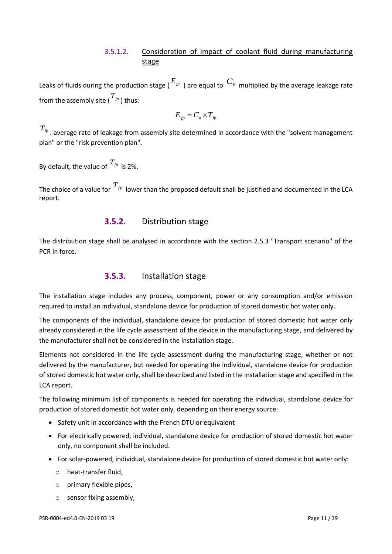#### 3.5.1.2. Consideration of impact of coolant fluid during manufacturing stage

Leaks of fluids during the production stage ( $^{E_{fp}}$  ) are equal to  $~C_{n}~$  multiplied by the average leakage rate from the assembly site (  $T_{\textit{fp}}$  ) thus:

$$
E_{fp} = C_n \times T_{fp}
$$

*Tfp* : average rate of leakage from assembly site determined in accordance with the "solvent management plan" or the "risk prevention plan".

By default, the value of *Tfp* is 2%.

The choice of a value for  $T_{\scriptscriptstyle f p}$  lower than the proposed default shall be justified and documented in the LCA report.

#### **3.5.2.** Distribution stage

The distribution stage shall be analysed in accordance with the section 2.5.3 "Transport scenario" of the PCR in force.

#### **3.5.3.** Installation stage

The installation stage includes any process, component, power or any consumption and/or emission required to install an individual, standalone device for production of stored domestic hot water only.

The components of the individual, standalone device for production of stored domestic hot water only already considered in the life cycle assessment of the device in the manufacturing stage, and delivered by the manufacturer shall not be considered in the installation stage.

Elements not considered in the life cycle assessment during the manufacturing stage, whether or not delivered by the manufacturer, but needed for operating the individual, standalone device for production of stored domestic hot water only, shall be described and listed in the installation stage and specified in the LCA report.

The following minimum list of components is needed for operating the individual, standalone device for production of stored domestic hot water only, depending on their energy source:

- Safety unit in accordance with the French DTU or equivalent
- For electrically powered, individual, standalone device for production of stored domestic hot water only, no component shall be included.
- For solar-powered, individual, standalone device for production of stored domestic hot water only:
	- o heat-transfer fluid,
	- o primary flexible pipes,
	- o sensor fixing assembly,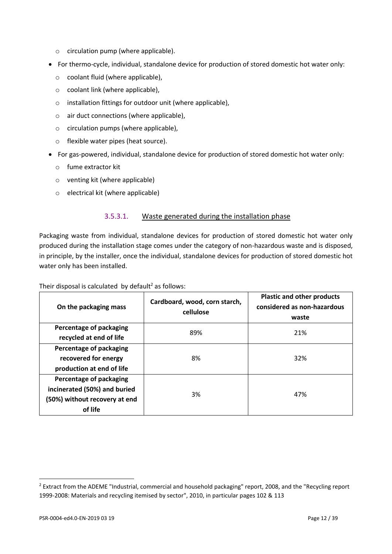- o circulation pump (where applicable).
- For thermo-cycle, individual, standalone device for production of stored domestic hot water only:
	- o coolant fluid (where applicable),
	- o coolant link (where applicable),
	- o installation fittings for outdoor unit (where applicable),
	- o air duct connections (where applicable),
	- o circulation pumps (where applicable),
	- o flexible water pipes (heat source).
- For gas-powered, individual, standalone device for production of stored domestic hot water only:
	- o fume extractor kit
	- o venting kit (where applicable)
	- o electrical kit (where applicable)

#### 3.5.3.1. Waste generated during the installation phase

Packaging waste from individual, standalone devices for production of stored domestic hot water only produced during the installation stage comes under the category of non-hazardous waste and is disposed, in principle, by the installer, once the individual, standalone devices for production of stored domestic hot water only has been installed.

Their disposal is calculated by default<sup>2</sup> as follows:

| On the packaging mass                                                                                      | Cardboard, wood, corn starch,<br>cellulose | <b>Plastic and other products</b><br>considered as non-hazardous<br>waste |
|------------------------------------------------------------------------------------------------------------|--------------------------------------------|---------------------------------------------------------------------------|
| Percentage of packaging<br>recycled at end of life                                                         | 89%                                        | 21%                                                                       |
| <b>Percentage of packaging</b><br>recovered for energy<br>production at end of life                        | 8%                                         | 32%                                                                       |
| <b>Percentage of packaging</b><br>incinerated (50%) and buried<br>(50%) without recovery at end<br>of life | 3%                                         | 47%                                                                       |

 $\overline{a}$ 

<sup>&</sup>lt;sup>2</sup> Extract from the ADEME "Industrial, commercial and household packaging" report, 2008, and the "Recycling report 1999-2008: Materials and recycling itemised by sector", 2010, in particular pages 102 & 113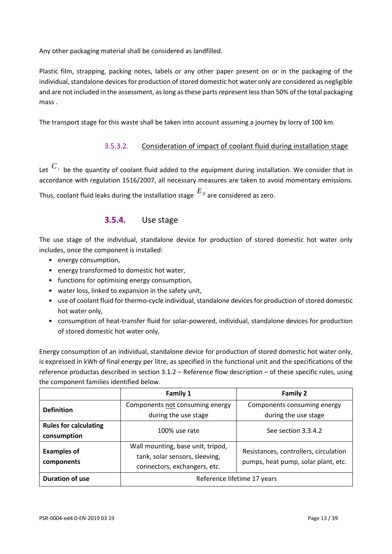Any other packaging material shall be considered as landfilled.

Plastic film, strapping, packing notes, labels or any other paper present on or in the packaging of the individual, standalone devices for production of stored domestic hot water only are considered as negligible and are not included in the assessment, as long as these parts represent less than 50% of the total packaging mass .

The transport stage for this waste shall be taken into account assuming a journey by lorry of 100 km.

#### 3.5.3.2. Consideration of impact of coolant fluid during installation stage

Let  $C_i$  be the quantity of coolant fluid added to the equipment during installation. We consider that in accordance with regulation 1516/2007, all necessary measures are taken to avoid momentary emissions.

Thus, coolant fluid leaks during the installation stage *Efi* are considered as zero.

#### **3.5.4.** Use stage

The use stage of the individual, standalone device for production of stored domestic hot water only includes, once the component is installed:

- energy consumption,
- energy transformed to domestic hot water,
- functions for optimising energy consumption,
- water loss, linked to expansion in the safety unit,
- use of coolant fluid for thermo-cycle individual, standalone devices for production of stored domestic hot water only,
- consumption of heat-transfer fluid for solar-powered, individual, standalone devices for production of stored domestic hot water only,

Energy consumption of an individual, standalone device for production of stored domestic hot water only, is expressed in kWh of final energy per litre, as specified in the functional unit and the specifications of the reference productas described in section 3.1.2 – Reference flow description – of these specific rules, using the component families identified below.

|                                             | Family 1                                                                                                                                                                            | <b>Family 2</b>                                     |  |
|---------------------------------------------|-------------------------------------------------------------------------------------------------------------------------------------------------------------------------------------|-----------------------------------------------------|--|
| <b>Definition</b>                           | Components not consuming energy<br>during the use stage                                                                                                                             | Components consuming energy<br>during the use stage |  |
| <b>Rules for calculating</b><br>consumption | 100% use rate                                                                                                                                                                       | See section 3.3.4.2                                 |  |
| <b>Examples of</b><br>components            | Wall mounting, base unit, tripod,<br>Resistances, controllers, circulation<br>tank, solar sensors, sleeving,<br>pumps, heat pump, solar plant, etc.<br>connectors, exchangers, etc. |                                                     |  |
| Duration of use                             | Reference lifetime 17 years                                                                                                                                                         |                                                     |  |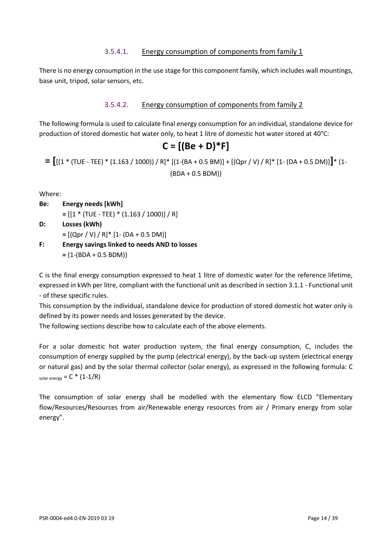#### 3.5.4.1. Energy consumption of components from family 1

There is no energy consumption in the use stage for this component family, which includes wall mountings, base unit, tripod, solar sensors, etc.

#### 3.5.4.2. Energy consumption of components from family 2

The following formula is used to calculate final energy consumption for an individual, standalone device for production of stored domestic hot water only, to heat 1 litre of domestic hot water stored at 40°C:

# **C = [(Be + D)\*F]**

**= [**[(1 \* (TUE - TEE) \* (1.163 / 1000)) / R]\* [(1-(BA + 0.5 BM)] + [(Qpr / V) / R]\* [1- (DA + 0.5 DM)]**]**\* (1- (BDA + 0.5 BDM))

Where:

- **Be: Energy needs [kWh]** 
	- **=** [[1 \* (TUE TEE) \* (1.163 / 1000)] / R]
- **D: Losses (kWh) =** [(Qpr / V) / R]\* [1- (DA + 0.5 DM)]
- **F: Energy savings linked to needs AND to losses =** (1-(BDA + 0.5 BDM))

C is the final energy consumption expressed to heat 1 litre of domestic water for the reference lifetime, expressed in kWh per litre, compliant with the functional unit as described in section 3.1.1 - Functional unit - of these specific rules.

This consumption by the individual, standalone device for production of stored domestic hot water only is defined by its power needs and losses generated by the device.

The following sections describe how to calculate each of the above elements.

For a solar domestic hot water production system, the final energy consumption, C, includes the consumption of energy supplied by the pump (electrical energy), by the back-up system (electrical energy or natural gas) and by the solar thermal collector (solar energy), as expressed in the following formula: C solar energy  $= C * (1-1/R)$ 

The consumption of solar energy shall be modelled with the elementary flow ELCD "Elementary flow/Resources/Resources from air/Renewable energy resources from air / Primary energy from solar energy".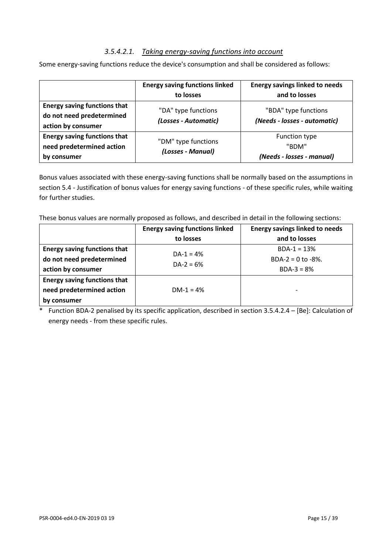#### *3.5.4.2.1. Taking energy-saving functions into account*

Some energy-saving functions reduce the device's consumption and shall be considered as follows:

|                                                                                        | <b>Energy saving functions linked</b><br>to losses | <b>Energy savings linked to needs</b><br>and to losses     |
|----------------------------------------------------------------------------------------|----------------------------------------------------|------------------------------------------------------------|
| <b>Energy saving functions that</b><br>do not need predetermined<br>action by consumer | "DA" type functions<br>(Losses - Automatic)        | "BDA" type functions<br>(Needs - losses - automatic)       |
| <b>Energy saving functions that</b><br>need predetermined action<br>by consumer        | "DM" type functions<br>(Losses - Manual)           | <b>Function type</b><br>"BDM"<br>(Needs - losses - manual) |

Bonus values associated with these energy-saving functions shall be normally based on the assumptions in section 5.4 - Justification of bonus values for energy saving functions - of these specific rules, while waiting for further studies.

These bonus values are normally proposed as follows, and described in detail in the following sections:

|                                     | <b>Energy saving functions linked</b> | <b>Energy savings linked to needs</b> |
|-------------------------------------|---------------------------------------|---------------------------------------|
|                                     | to losses                             | and to losses                         |
| <b>Energy saving functions that</b> | $DA-1 = 4%$                           | $BDA-1 = 13%$                         |
| do not need predetermined           | $DA-2 = 6%$                           | BDA-2 = $0$ to -8%.                   |
| action by consumer                  |                                       | $BDA-3 = 8%$                          |
| <b>Energy saving functions that</b> |                                       |                                       |
| need predetermined action           | $DM-1 = 4%$                           | -                                     |
| by consumer                         |                                       |                                       |

\* Function BDA-2 penalised by its specific application, described in section 3.5.4.2.4 – [Be]: Calculation of energy needs - from these specific rules.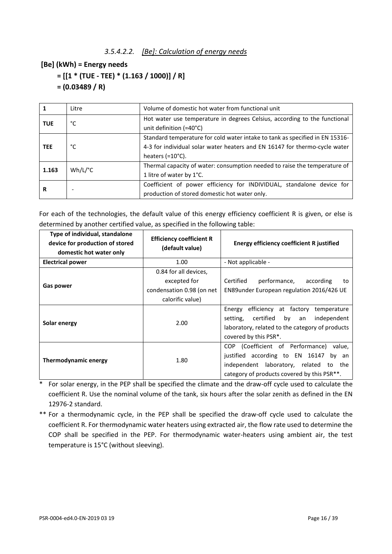#### **[Be] (kWh) = Energy needs**

```
 = [[1 * (TUE - TEE) * (1.163 / 1000)] / R]
```
 **= (0.03489 / R)**

|            | Litre                 | Volume of domestic hot water from functional unit                                                                                                                                        |
|------------|-----------------------|------------------------------------------------------------------------------------------------------------------------------------------------------------------------------------------|
| <b>TUE</b> | °C                    | Hot water use temperature in degrees Celsius, according to the functional<br>unit definition (=40°C)                                                                                     |
| <b>TEE</b> | °C                    | Standard temperature for cold water intake to tank as specified in EN 15316-<br>4-3 for individual solar water heaters and EN 16147 for thermo-cycle water<br>heaters $(=10^{\circ}C)$ . |
| 1.163      | $Wh/L$ <sup>o</sup> C | Thermal capacity of water: consumption needed to raise the temperature of<br>1 litre of water by 1°C.                                                                                    |
| R          |                       | Coefficient of power efficiency for INDIVIDUAL, standalone device for<br>production of stored domestic hot water only.                                                                   |

For each of the technologies, the default value of this energy efficiency coefficient R is given, or else is determined by another certified value, as specified in the following table:

| Type of individual, standalone<br>device for production of stored<br>domestic hot water only | <b>Efficiency coefficient R</b><br>(default value)                                     | <b>Energy efficiency coefficient R justified</b>                                                                                                                                                   |  |
|----------------------------------------------------------------------------------------------|----------------------------------------------------------------------------------------|----------------------------------------------------------------------------------------------------------------------------------------------------------------------------------------------------|--|
| <b>Electrical power</b>                                                                      | 1.00                                                                                   | - Not applicable -                                                                                                                                                                                 |  |
| Gas power                                                                                    | 0.84 for all devices,<br>excepted for<br>condensation 0.98 (on net<br>calorific value) | Certified<br>performance,<br>according<br>to<br>EN89under European regulation 2016/426 UE                                                                                                          |  |
| Solar energy                                                                                 | 2.00                                                                                   | Energy<br>efficiency at factory<br>temperature<br>certified by an<br>independent<br>setting,<br>laboratory, related to the category of products<br>covered by this PSR <sup>*</sup> .              |  |
| 1.80<br>Thermodynamic energy                                                                 |                                                                                        | COP (Coefficient of Performance)<br>value.<br>justified according to EN 16147<br>bv<br>an<br>independent laboratory, related<br>to the<br>category of products covered by this PSR <sup>**</sup> . |  |

\* For solar energy, in the PEP shall be specified the climate and the draw-off cycle used to calculate the coefficient R. Use the nominal volume of the tank, six hours after the solar zenith as defined in the EN 12976-2 standard.

\*\* For a thermodynamic cycle, in the PEP shall be specified the draw-off cycle used to calculate the coefficient R. For thermodynamic water heaters using extracted air, the flow rate used to determine the COP shall be specified in the PEP. For thermodynamic water-heaters using ambient air, the test temperature is 15°C (without sleeving).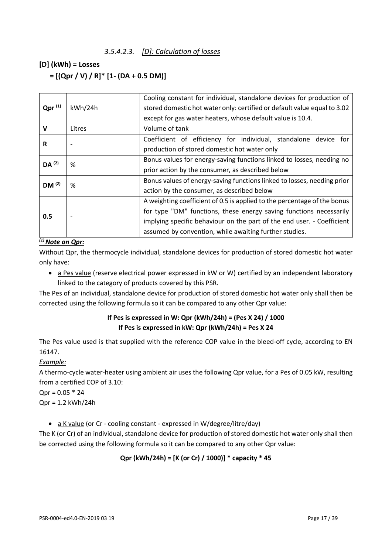#### *3.5.4.2.3. [D]: Calculation of losses*

#### **[D] (kWh) = Losses**

 **= [(Qpr / V) / R]\* [1- (DA + 0.5 DM)]**

|                                        | kWh/24h | Cooling constant for individual, standalone devices for production of    |
|----------------------------------------|---------|--------------------------------------------------------------------------|
| $Qpr^{(1)}$                            |         | stored domestic hot water only: certified or default value equal to 3.02 |
|                                        |         | except for gas water heaters, whose default value is 10.4.               |
| V                                      | Litres  | Volume of tank                                                           |
| R                                      |         | Coefficient of efficiency for individual, standalone device for          |
|                                        |         | production of stored domestic hot water only                             |
|                                        | ℅       | Bonus values for energy-saving functions linked to losses, needing no    |
|                                        |         | prior action by the consumer, as described below                         |
| DM <sup>(2)</sup><br>%                 |         | Bonus values of energy-saving functions linked to losses, needing prior  |
|                                        |         | action by the consumer, as described below                               |
|                                        |         | A weighting coefficient of 0.5 is applied to the percentage of the bonus |
|                                        |         | for type "DM" functions, these energy saving functions necessarily       |
|                                        |         | implying specific behaviour on the part of the end user. - Coefficient   |
|                                        |         | assumed by convention, while awaiting further studies.                   |
| DA <sup>(2)</sup><br>0.5<br>$\sqrt{4}$ |         |                                                                          |

#### *(1) Note on Qpr:*

Without Qpr, the thermocycle individual, standalone devices for production of stored domestic hot water only have:

• a Pes value (reserve electrical power expressed in kW or W) certified by an independent laboratory linked to the category of products covered by this PSR.

The Pes of an individual, standalone device for production of stored domestic hot water only shall then be corrected using the following formula so it can be compared to any other Qpr value:

#### **If Pes is expressed in W: Qpr (kWh/24h) = (Pes X 24) / 1000 If Pes is expressed in kW: Qpr (kWh/24h) = Pes X 24**

The Pes value used is that supplied with the reference COP value in the bleed-off cycle, according to EN 16147.

#### *Example:*

A thermo-cycle water-heater using ambient air uses the following Qpr value, for a Pes of 0.05 kW, resulting from a certified COP of 3.10:

 $Qpr = 0.05 * 24$ 

Qpr = 1.2 kWh/24h

• a K value (or Cr - cooling constant - expressed in W/degree/litre/day)

The K (or Cr) of an individual, standalone device for production of stored domestic hot water only shall then be corrected using the following formula so it can be compared to any other Qpr value:

#### **Qpr (kWh/24h) = [K (or Cr) / 1000)] \* capacity \* 45**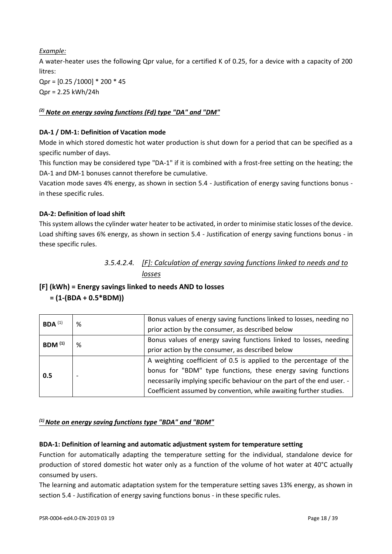*Example:* A water-heater uses the following Qpr value, for a certified K of 0.25, for a device with a capacity of 200 litres: Qpr = [0.25 /1000] \* 200 \* 45 Qpr = 2.25 kWh/24h

#### *(2) Note on energy saving functions (Fd) type "DA" and "DM"*

#### **DA-1 / DM-1: Definition of Vacation mode**

Mode in which stored domestic hot water production is shut down for a period that can be specified as a specific number of days.

This function may be considered type "DA-1" if it is combined with a frost-free setting on the heating; the DA-1 and DM-1 bonuses cannot therefore be cumulative.

Vacation mode saves 4% energy, as shown in section 5.4 - Justification of energy saving functions bonus in these specific rules.

#### **DA-2: Definition of load shift**

This system allows the cylinder water heater to be activated, in order to minimise static losses of the device. Load shifting saves 6% energy, as shown in section 5.4 - Justification of energy saving functions bonus - in these specific rules.

### *3.5.4.2.4. [F]: Calculation of energy saving functions linked to needs and to losses*

#### **[F] (kWh) = Energy savings linked to needs AND to losses = (1-(BDA + 0.5\*BDM))**

| $BDA$ <sup>(1)</sup> | % | Bonus values of energy saving functions linked to losses, needing no   |
|----------------------|---|------------------------------------------------------------------------|
|                      |   | prior action by the consumer, as described below                       |
| BDM <sup>(1)</sup>   | % | Bonus values of energy saving functions linked to losses, needing      |
|                      |   | prior action by the consumer, as described below                       |
|                      |   | A weighting coefficient of 0.5 is applied to the percentage of the     |
| 0.5                  |   | bonus for "BDM" type functions, these energy saving functions          |
|                      |   | necessarily implying specific behaviour on the part of the end user. - |
|                      |   | Coefficient assumed by convention, while awaiting further studies.     |

#### *(1) Note on energy saving functions type "BDA" and "BDM"*

#### **BDA-1: Definition of learning and automatic adjustment system for temperature setting**

Function for automatically adapting the temperature setting for the individual, standalone device for production of stored domestic hot water only as a function of the volume of hot water at 40°C actually consumed by users.

The learning and automatic adaptation system for the temperature setting saves 13% energy, as shown in section 5.4 - Justification of energy saving functions bonus - in these specific rules.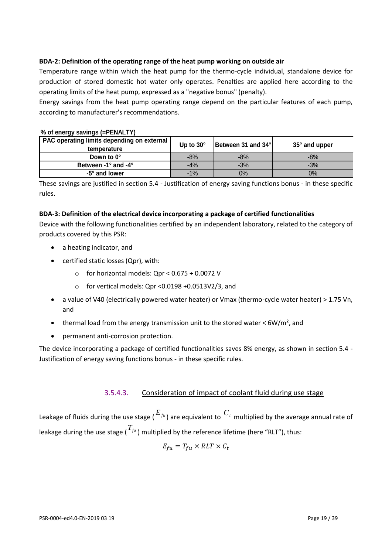#### **BDA-2: Definition of the operating range of the heat pump working on outside air**

Temperature range within which the heat pump for the thermo-cycle individual, standalone device for production of stored domestic hot water only operates. Penalties are applied here according to the operating limits of the heat pump, expressed as a "negative bonus" (penalty).

Energy savings from the heat pump operating range depend on the particular features of each pump, according to manufacturer's recommendations.

| PAC operating limits depending on external  <br>temperature | Up to $30^\circ$ | Between 31 and 34° | $35^\circ$ and upper |
|-------------------------------------------------------------|------------------|--------------------|----------------------|
| Down to 0°                                                  | $-8%$            | $-8%$              | $-8%$                |
| Between -1° and -4°                                         | $-4%$            | $-3%$              | $-3%$                |
| -5° and lower                                               | $-1%$            | 0%                 | $0\%$                |

#### **% of energy savings (=PENALTY)**

These savings are justified in section 5.4 - Justification of energy saving functions bonus - in these specific rules.

#### **BDA-3: Definition of the electrical device incorporating a package of certified functionalities**

Device with the following functionalities certified by an independent laboratory, related to the category of products covered by this PSR:

- a heating indicator, and
- certified static losses (Qpr), with:
	- $\circ$  for horizontal models: Qpr < 0.675 + 0.0072 V
	- o for vertical models: Qpr <0.0198 +0.0513V2/3, and
- a value of V40 (electrically powered water heater) or Vmax (thermo-cycle water heater) > 1.75 Vn, and
- thermal load from the energy transmission unit to the stored water  $\lt$  6W/m<sup>2</sup>, and
- permanent anti-corrosion protection.

The device incorporating a package of certified functionalities saves 8% energy, as shown in section 5.4 - Justification of energy saving functions bonus - in these specific rules.

#### 3.5.4.3. Consideration of impact of coolant fluid during use stage

Leakage of fluids during the use stage ( $E_{f^u}$ ) are equivalent to  $C_t$  multiplied by the average annual rate of leakage during the use stage (  $^{T_{\textit{fu}}}$  ) multiplied by the reference lifetime (here "RLT"), thus:

$$
E_{fu} = T_{fu} \times RLT \times C_t
$$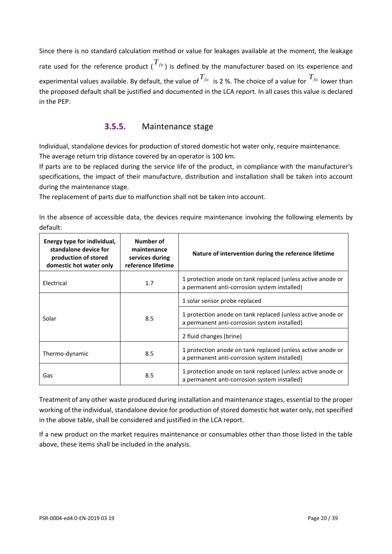Since there is no standard calculation method or value for leakages available at the moment, the leakage rate used for the reference product ( $T_{f^{\mu}}$ ) is defined by the manufacturer based on its experience and experimental values available. By default, the value of  $T_{f^{\mu}}$  is 2 %. The choice of a value for  $T_{f^{\mu}}$  lower than the proposed default shall be justified and documented in the LCA report. In all cases this value is declared in the PEP.

### **3.5.5.** Maintenance stage

Individual, standalone devices for production of stored domestic hot water only, require maintenance. The average return trip distance covered by an operator is 100 km.

If parts are to be replaced during the service life of the product, in compliance with the manufacturer's specifications, the impact of their manufacture, distribution and installation shall be taken into account during the maintenance stage.

The replacement of parts due to malfunction shall not be taken into account.

In the absence of accessible data, the devices require maintenance involving the following elements by default:

| Energy type for individual,<br>standalone device for<br>production of stored<br>domestic hot water only | Number of<br>maintenance<br>services during<br>reference lifetime | Nature of intervention during the reference lifetime                                                        |  |  |  |
|---------------------------------------------------------------------------------------------------------|-------------------------------------------------------------------|-------------------------------------------------------------------------------------------------------------|--|--|--|
| Electrical                                                                                              | 1.7                                                               | 1 protection anode on tank replaced (unless active anode or<br>a permanent anti-corrosion system installed) |  |  |  |
|                                                                                                         |                                                                   | 1 solar sensor probe replaced                                                                               |  |  |  |
| Solar                                                                                                   | 8.5                                                               | 1 protection anode on tank replaced (unless active anode or<br>a permanent anti-corrosion system installed) |  |  |  |
|                                                                                                         |                                                                   | 2 fluid changes (brine)                                                                                     |  |  |  |
| Thermo-dynamic                                                                                          | 8.5                                                               | 1 protection anode on tank replaced (unless active anode or<br>a permanent anti-corrosion system installed) |  |  |  |
| Gas                                                                                                     | 8.5                                                               | 1 protection anode on tank replaced (unless active anode or<br>a permanent anti-corrosion system installed) |  |  |  |

Treatment of any other waste produced during installation and maintenance stages, essential to the proper working of the individual, standalone device for production of stored domestic hot water only, not specified in the above table, shall be considered and justified in the LCA report.

If a new product on the market requires maintenance or consumables other than those listed in the table above, these items shall be included in the analysis.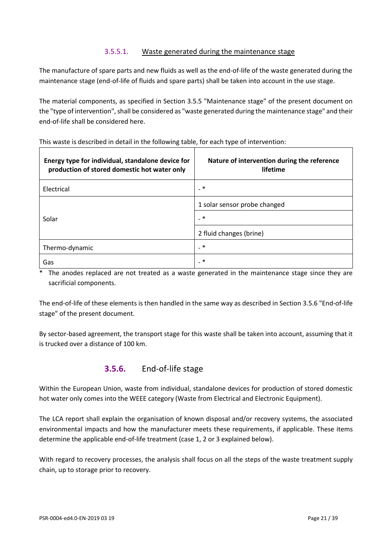#### 3.5.5.1. Waste generated during the maintenance stage

The manufacture of spare parts and new fluids as well as the end-of-life of the waste generated during the maintenance stage (end-of-life of fluids and spare parts) shall be taken into account in the use stage.

The material components, as specified in Section 3.5.5 "Maintenance stage" of the present document on the "type of intervention", shall be considered as "waste generated during the maintenance stage" and their end-of-life shall be considered here.

| Energy type for individual, standalone device for<br>production of stored domestic hot water only | Nature of intervention during the reference<br>lifetime |
|---------------------------------------------------------------------------------------------------|---------------------------------------------------------|
| Electrical                                                                                        | _ *                                                     |
|                                                                                                   | 1 solar sensor probe changed                            |
| Solar                                                                                             | $_{-}$ $*$                                              |
|                                                                                                   | 2 fluid changes (brine)                                 |
| Thermo-dynamic                                                                                    | _ *                                                     |
| Gas                                                                                               | _ ∗                                                     |

This waste is described in detail in the following table, for each type of intervention:

The anodes replaced are not treated as a waste generated in the maintenance stage since they are sacrificial components.

The end-of-life of these elements is then handled in the same way as described in Section 3.5.6 "End-of-life stage" of the present document.

By sector-based agreement, the transport stage for this waste shall be taken into account, assuming that it is trucked over a distance of 100 km.

### **3.5.6.** End-of-life stage

Within the European Union, waste from individual, standalone devices for production of stored domestic hot water only comes into the WEEE category (Waste from Electrical and Electronic Equipment).

The LCA report shall explain the organisation of known disposal and/or recovery systems, the associated environmental impacts and how the manufacturer meets these requirements, if applicable. These items determine the applicable end-of-life treatment (case 1, 2 or 3 explained below).

With regard to recovery processes, the analysis shall focus on all the steps of the waste treatment supply chain, up to storage prior to recovery.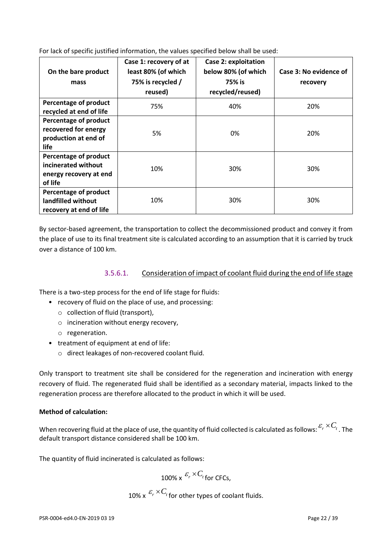For lack of specific justified information, the values specified below shall be used:

| On the bare product<br>mass                                                       | Case 1: recovery of at<br>least 80% (of which<br>75% is recycled /<br>reused) | <b>Case 2: exploitation</b><br>below 80% (of which<br>75% is<br>recycled/reused) | Case 3: No evidence of<br>recovery |
|-----------------------------------------------------------------------------------|-------------------------------------------------------------------------------|----------------------------------------------------------------------------------|------------------------------------|
| Percentage of product<br>recycled at end of life                                  | 75%                                                                           | 40%                                                                              | 20%                                |
| Percentage of product<br>recovered for energy<br>production at end of<br>life     | 5%                                                                            | 0%                                                                               | 20%                                |
| Percentage of product<br>incinerated without<br>energy recovery at end<br>of life | 10%                                                                           | 30%                                                                              | 30%                                |
| Percentage of product<br>landfilled without<br>recovery at end of life            | 10%                                                                           | 30%                                                                              | 30%                                |

By sector-based agreement, the transportation to collect the decommissioned product and convey it from the place of use to its final treatment site is calculated according to an assumption that it is carried by truck over a distance of 100 km.

#### 3.5.6.1. Consideration of impact of coolant fluid during the end of life stage

There is a two-step process for the end of life stage for fluids:

- recovery of fluid on the place of use, and processing:
	- o collection of fluid (transport),
	- o incineration without energy recovery,
	- o regeneration.
- treatment of equipment at end of life:
	- o direct leakages of non-recovered coolant fluid.

Only transport to treatment site shall be considered for the regeneration and incineration with energy recovery of fluid. The regenerated fluid shall be identified as a secondary material, impacts linked to the regeneration process are therefore allocated to the product in which it will be used.

#### **Method of calculation:**

When recovering fluid at the place of use, the quantity of fluid collected is calculated as follows:  $^{\mathcal{E}_{r} \times C_{t}}$  . The default transport distance considered shall be 100 km.

The quantity of fluid incinerated is calculated as follows:

 $100\%$  x  $\frac{\varepsilon_r \times C_t}{\pi}$  for CFCs,

10% x  $\frac{\varepsilon_r \times C_t}{r}$  for other types of coolant fluids.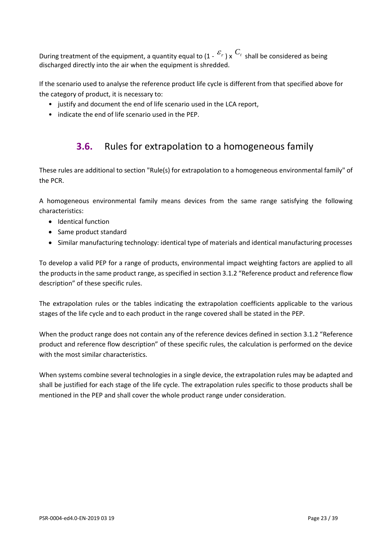During treatment of the equipment, a quantity equal to  $(1 - \varepsilon_r)$  x  $C_t$  shall be considered as being discharged directly into the air when the equipment is shredded.

If the scenario used to analyse the reference product life cycle is different from that specified above for the category of product, it is necessary to:

- justify and document the end of life scenario used in the LCA report,
- <span id="page-22-0"></span>• indicate the end of life scenario used in the PEP.

# **3.6.** Rules for extrapolation to a homogeneous family

These rules are additional to section "Rule(s) for extrapolation to a homogeneous environmental family" of the PCR.

A homogeneous environmental family means devices from the same range satisfying the following characteristics:

- Identical function
- Same product standard
- Similar manufacturing technology: identical type of materials and identical manufacturing processes

To develop a valid PEP for a range of products, environmental impact weighting factors are applied to all the products in the same product range, as specified in section 3.1.2 "Reference product and reference flow description" of these specific rules.

The extrapolation rules or the tables indicating the extrapolation coefficients applicable to the various stages of the life cycle and to each product in the range covered shall be stated in the PEP.

When the product range does not contain any of the reference devices defined in section 3.1.2 "Reference product and reference flow description" of these specific rules, the calculation is performed on the device with the most similar characteristics.

When systems combine several technologies in a single device, the extrapolation rules may be adapted and shall be justified for each stage of the life cycle. The extrapolation rules specific to those products shall be mentioned in the PEP and shall cover the whole product range under consideration.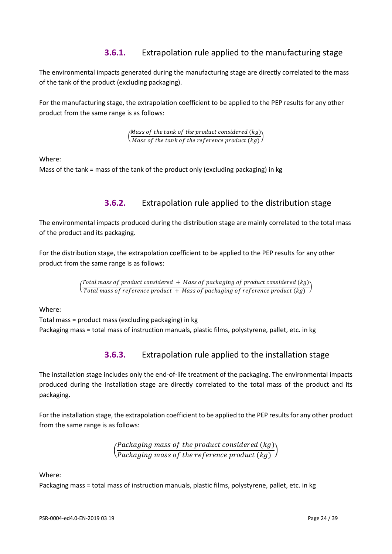### **3.6.1.** Extrapolation rule applied to the manufacturing stage

The environmental impacts generated during the manufacturing stage are directly correlated to the mass of the tank of the product (excluding packaging).

For the manufacturing stage, the extrapolation coefficient to be applied to the PEP results for any other product from the same range is as follows:

> $\int_{\mathcal{M}}$  Mass of the tank of the product considered (kg)  $\overline{M}$   $\overline{M}$  ass of the tank of the reference product  $(kg)$

Where:

Mass of the tank = mass of the tank of the product only (excluding packaging) in kg

### **3.6.2.** Extrapolation rule applied to the distribution stage

The environmental impacts produced during the distribution stage are mainly correlated to the total mass of the product and its packaging.

For the distribution stage, the extrapolation coefficient to be applied to the PEP results for any other product from the same range is as follows:

> $\left(\frac{1}{\text{Total mass of reference product} + \text{Mass of packaging of reference product} + \text{Mass of 2}}\right)$ Total mass of product considered + Mass of packaging of product considered  $(kg)$

Where:

Total mass = product mass (excluding packaging) in kg Packaging mass = total mass of instruction manuals, plastic films, polystyrene, pallet, etc. in kg

### **3.6.3.** Extrapolation rule applied to the installation stage

The installation stage includes only the end-of-life treatment of the packaging. The environmental impacts produced during the installation stage are directly correlated to the total mass of the product and its packaging.

For the installation stage, the extrapolation coefficient to be applied to the PEP results for any other product from the same range is as follows:

> ( Packaging mass of the product considered  $(kg)$  $\frac{1}{\text{Packaging mass of the reference product } (kg)}$

Where:

Packaging mass = total mass of instruction manuals, plastic films, polystyrene, pallet, etc. in kg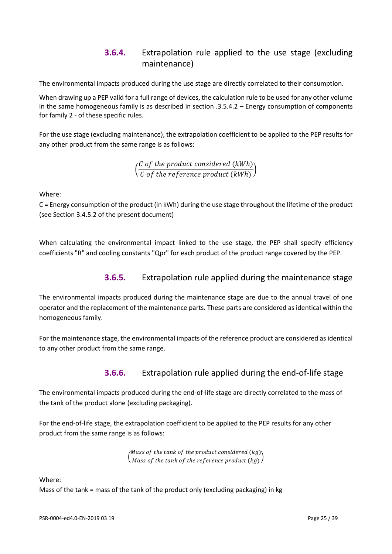### **3.6.4.** Extrapolation rule applied to the use stage (excluding maintenance)

The environmental impacts produced during the use stage are directly correlated to their consumption.

When drawing up a PEP valid for a full range of devices, the calculation rule to be used for any other volume in the same homogeneous family is as described in section .3.5.4.2 – Energy consumption of components for family 2 - of these specific rules.

For the use stage (excluding maintenance), the extrapolation coefficient to be applied to the PEP results for any other product from the same range is as follows:

> ( C of the product considered (kWh)  $\overline{C}$  of the reference product  $(kWh)$

Where:

C = Energy consumption of the product (in kWh) during the use stage throughout the lifetime of the product (see Section 3.4.5.2 of the present document)

When calculating the environmental impact linked to the use stage, the PEP shall specify efficiency coefficients "R" and cooling constants "Qpr" for each product of the product range covered by the PEP.

### **3.6.5.** Extrapolation rule applied during the maintenance stage

The environmental impacts produced during the maintenance stage are due to the annual travel of one operator and the replacement of the maintenance parts. These parts are considered as identical within the homogeneous family.

For the maintenance stage, the environmental impacts of the reference product are considered as identical to any other product from the same range.

### **3.6.6.** Extrapolation rule applied during the end-of-life stage

The environmental impacts produced during the end-of-life stage are directly correlated to the mass of the tank of the product alone (excluding packaging).

For the end-of-life stage, the extrapolation coefficient to be applied to the PEP results for any other product from the same range is as follows:

> $\int_{0}^{Mass}$  of the tank of the product considered  $(kg)$ <br> $Mess$  of the tank of the professor and set  $(kg)$  $\frac{h}{2}$  Mass of the tank of the reference product  $(kg)$

Where:

Mass of the tank = mass of the tank of the product only (excluding packaging) in kg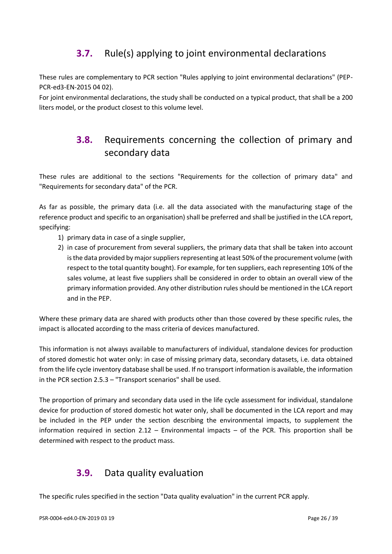# <span id="page-25-0"></span>**3.7.** Rule(s) applying to joint environmental declarations

These rules are complementary to PCR section "Rules applying to joint environmental declarations" (PEP-PCR-ed3-EN-2015 04 02).

<span id="page-25-1"></span>For joint environmental declarations, the study shall be conducted on a typical product, that shall be a 200 liters model, or the product closest to this volume level.

# **3.8.** Requirements concerning the collection of primary and secondary data

These rules are additional to the sections "Requirements for the collection of primary data" and "Requirements for secondary data" of the PCR.

As far as possible, the primary data (i.e. all the data associated with the manufacturing stage of the reference product and specific to an organisation) shall be preferred and shall be justified in the LCA report, specifying:

- 1) primary data in case of a single supplier,
- 2) in case of procurement from several suppliers, the primary data that shall be taken into account is the data provided by major suppliers representing at least 50% of the procurement volume (with respect to the total quantity bought). For example, for ten suppliers, each representing 10% of the sales volume, at least five suppliers shall be considered in order to obtain an overall view of the primary information provided. Any other distribution rules should be mentioned in the LCA report and in the PEP.

Where these primary data are shared with products other than those covered by these specific rules, the impact is allocated according to the mass criteria of devices manufactured.

This information is not always available to manufacturers of individual, standalone devices for production of stored domestic hot water only: in case of missing primary data, secondary datasets, i.e. data obtained from the life cycle inventory database shall be used. If no transport information is available, the information in the PCR section 2.5.3 – "Transport scenarios" shall be used.

The proportion of primary and secondary data used in the life cycle assessment for individual, standalone device for production of stored domestic hot water only, shall be documented in the LCA report and may be included in the PEP under the section describing the environmental impacts, to supplement the information required in section  $2.12$  – Environmental impacts – of the PCR. This proportion shall be determined with respect to the product mass.

# <span id="page-25-2"></span>**3.9.** Data quality evaluation

The specific rules specified in the section "Data quality evaluation" in the current PCR apply.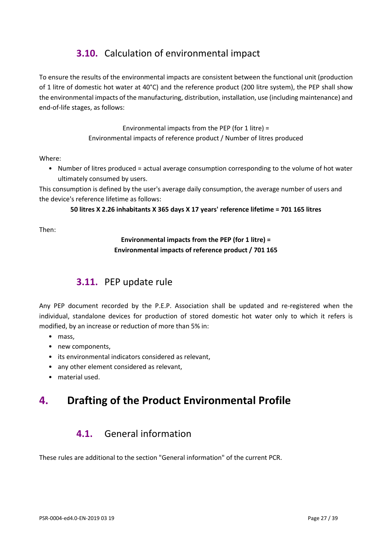# <span id="page-26-0"></span>**3.10.** Calculation of environmental impact

To ensure the results of the environmental impacts are consistent between the functional unit (production of 1 litre of domestic hot water at 40°C) and the reference product (200 litre system), the PEP shall show the environmental impacts of the manufacturing, distribution, installation, use (including maintenance) and end-of-life stages, as follows:

> Environmental impacts from the PEP (for 1 litre) = Environmental impacts of reference product / Number of litres produced

#### Where:

• Number of litres produced = actual average consumption corresponding to the volume of hot water ultimately consumed by users.

This consumption is defined by the user's average daily consumption, the average number of users and the device's reference lifetime as follows:

#### **50 litres X 2.26 inhabitants X 365 days X 17 years' reference lifetime = 701 165 litres**

<span id="page-26-1"></span>Then:

#### **Environmental impacts from the PEP (for 1 litre) = Environmental impacts of reference product / 701 165**

# **3.11.** PEP update rule

Any PEP document recorded by the P.E.P. Association shall be updated and re-registered when the individual, standalone devices for production of stored domestic hot water only to which it refers is modified, by an increase or reduction of more than 5% in:

- mass,
- new components,
- its environmental indicators considered as relevant,
- any other element considered as relevant,
- material used.

# <span id="page-26-3"></span><span id="page-26-2"></span>**4. Drafting of the Product Environmental Profile**

# **4.1.** General information

These rules are additional to the section "General information" of the current PCR.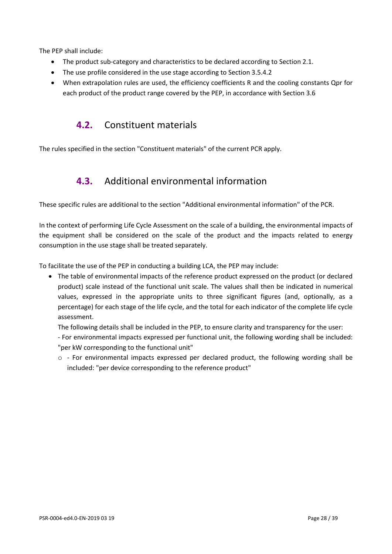The PEP shall include:

- The product sub-category and characteristics to be declared according to Section 2.1.
- The use profile considered in the use stage according to Section 3.5.4.2
- <span id="page-27-0"></span>• When extrapolation rules are used, the efficiency coefficients R and the cooling constants Qpr for each product of the product range covered by the PEP, in accordance with Section 3.6

# **4.2.** Constituent materials

<span id="page-27-1"></span>The rules specified in the section "Constituent materials" of the current PCR apply.

# **4.3.** Additional environmental information

These specific rules are additional to the section "Additional environmental information" of the PCR.

In the context of performing Life Cycle Assessment on the scale of a building, the environmental impacts of the equipment shall be considered on the scale of the product and the impacts related to energy consumption in the use stage shall be treated separately.

To facilitate the use of the PEP in conducting a building LCA, the PEP may include:

• The table of environmental impacts of the reference product expressed on the product (or declared product) scale instead of the functional unit scale. The values shall then be indicated in numerical values, expressed in the appropriate units to three significant figures (and, optionally, as a percentage) for each stage of the life cycle, and the total for each indicator of the complete life cycle assessment.

The following details shall be included in the PEP, to ensure clarity and transparency for the user:

- For environmental impacts expressed per functional unit, the following wording shall be included: "per kW corresponding to the functional unit"

 $\circ$  - For environmental impacts expressed per declared product, the following wording shall be included: "per device corresponding to the reference product"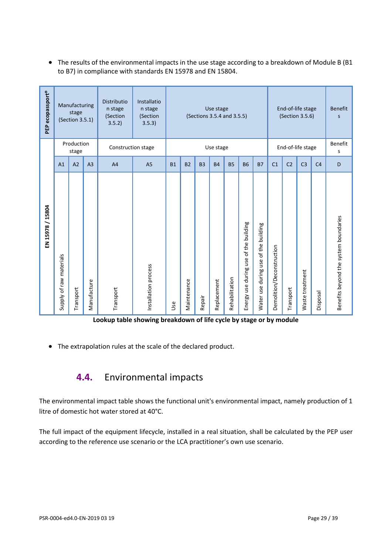• The results of the environmental impacts in the use stage according to a breakdown of Module B (B1 to B7) in compliance with standards EN 15978 and EN 15804.

| PEP ecopassport® |                         | Manufacturing<br>stage<br>(Section 3.5.1)<br>Production |                | Distributio<br>n stage<br>(Section<br>3.5.2) | Installatio<br>n stage<br>(Section<br>3.5.3) | Use stage<br>(Sections 3.5.4 and 3.5.5) |                |           |             |                | End-of-life stage<br>(Section 3.5.6)<br>End-of-life stage |                                                 |                           | <b>Benefit</b><br>S<br><b>Benefit</b> |                 |                |                                       |
|------------------|-------------------------|---------------------------------------------------------|----------------|----------------------------------------------|----------------------------------------------|-----------------------------------------|----------------|-----------|-------------|----------------|-----------------------------------------------------------|-------------------------------------------------|---------------------------|---------------------------------------|-----------------|----------------|---------------------------------------|
|                  |                         | stage                                                   |                | Construction stage                           |                                              |                                         |                |           | Use stage   |                |                                                           |                                                 |                           |                                       |                 |                | S                                     |
|                  | A <sub>1</sub>          | A2                                                      | A <sub>3</sub> | A <sub>4</sub>                               | A <sub>5</sub>                               | B <sub>1</sub>                          | B <sub>2</sub> | <b>B3</b> | <b>B4</b>   | <b>B5</b>      | <b>B6</b>                                                 | <b>B7</b>                                       | C <sub>1</sub>            | C <sub>2</sub>                        | C <sub>3</sub>  | C <sub>4</sub> | D                                     |
| EN 15978 / 15804 | Supply of raw materials | Transport                                               | Manufacture    | Transport                                    | Installation process                         | Use                                     | Maintenance    | Repair    | Replacement | Rehabilitation | of the building<br>during use<br>Energy use               | of the building<br>use<br>during I<br>Water use | Demolition/Deconstruction | Transport                             | Waste treatment | Disposal       | Benefits beyond the system boundaries |

**Lookup table showing breakdown of life cycle by stage or by module** 

<span id="page-28-0"></span>• The extrapolation rules at the scale of the declared product.

# **4.4.** Environmental impacts

The environmental impact table shows the functional unit's environmental impact, namely production of 1 litre of domestic hot water stored at 40°C.

The full impact of the equipment lifecycle, installed in a real situation, shall be calculated by the PEP user according to the reference use scenario or the LCA practitioner's own use scenario.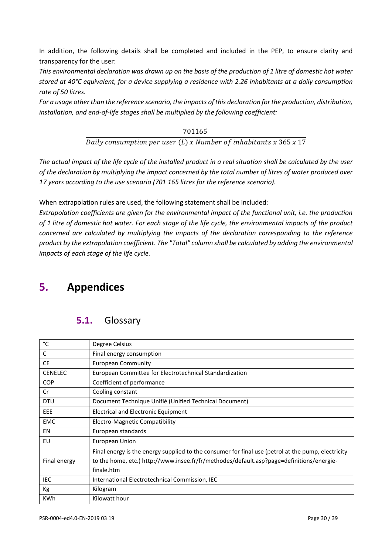In addition, the following details shall be completed and included in the PEP, to ensure clarity and transparency for the user:

*This environmental declaration was drawn up on the basis of the production of 1 litre of domestic hot water stored at 40°C equivalent, for a device supplying a residence with 2.26 inhabitants at a daily consumption rate of 50 litres.* 

*For a usage other than the reference scenario, the impacts of this declaration for the production, distribution, installation, and end-of-life stages shall be multiplied by the following coefficient:*

> 701165 Daily consumption per user  $(L)$  x Number of inhabitants x 365 x 17

*The actual impact of the life cycle of the installed product in a real situation shall be calculated by the user of the declaration by multiplying the impact concerned by the total number of litres of water produced over 17 years according to the use scenario (701 165 litres for the reference scenario).*

When extrapolation rules are used, the following statement shall be included:

*Extrapolation coefficients are given for the environmental impact of the functional unit, i.e. the production of 1 litre of domestic hot water. For each stage of the life cycle, the environmental impacts of the product concerned are calculated by multiplying the impacts of the declaration corresponding to the reference product by the extrapolation coefficient. The "Total" column shall be calculated by adding the environmental impacts of each stage of the life cycle.*

# <span id="page-29-1"></span><span id="page-29-0"></span>**5. Appendices**

# **5.1.** Glossary

| °C             | Degree Celsius                                                                                     |
|----------------|----------------------------------------------------------------------------------------------------|
| C              | Final energy consumption                                                                           |
| <b>CE</b>      | European Community                                                                                 |
| <b>CENELEC</b> | European Committee for Electrotechnical Standardization                                            |
| <b>COP</b>     | Coefficient of performance                                                                         |
| Cr             | Cooling constant                                                                                   |
| <b>DTU</b>     | Document Technique Unifié (Unified Technical Document)                                             |
| EEE            | Electrical and Electronic Equipment                                                                |
| <b>EMC</b>     | Electro-Magnetic Compatibility                                                                     |
| EN             | European standards                                                                                 |
| EU             | European Union                                                                                     |
|                | Final energy is the energy supplied to the consumer for final use (petrol at the pump, electricity |
| Final energy   | to the home, etc.) http://www.insee.fr/fr/methodes/default.asp?page=definitions/energie-           |
|                | finale.htm                                                                                         |
| IEC.           | International Electrotechnical Commission, IEC                                                     |
| Кg             | Kilogram                                                                                           |
| <b>KWh</b>     | Kilowatt hour                                                                                      |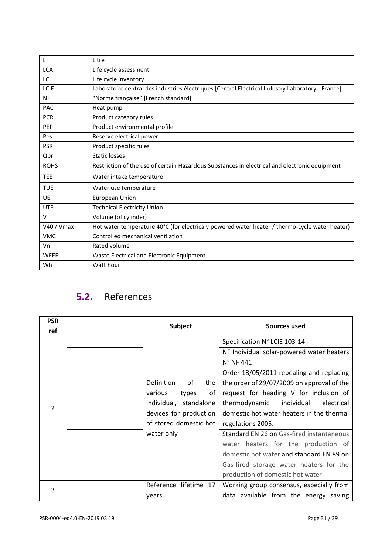| L           | Litre                                                                                            |
|-------------|--------------------------------------------------------------------------------------------------|
| <b>LCA</b>  | Life cycle assessment                                                                            |
| LCI         | Life cycle inventory                                                                             |
| LCIE        | Laboratoire central des industries électriques [Central Electrical Industry Laboratory - France] |
| <b>NF</b>   | "Norme française" [French standard]                                                              |
| PAC         | Heat pump                                                                                        |
| <b>PCR</b>  | Product category rules                                                                           |
| <b>PEP</b>  | Product environmental profile                                                                    |
| Pes         | Reserve electrical power                                                                         |
| <b>PSR</b>  | Product specific rules                                                                           |
| Qpr         | <b>Static losses</b>                                                                             |
| <b>ROHS</b> | Restriction of the use of certain Hazardous Substances in electrical and electronic equipment    |
| <b>TEE</b>  | Water intake temperature                                                                         |
| <b>TUE</b>  | Water use temperature                                                                            |
| <b>UE</b>   | European Union                                                                                   |
| <b>UTE</b>  | <b>Technical Electricity Union</b>                                                               |
| $\vee$      | Volume (of cylinder)                                                                             |
| V40 / Vmax  | Hot water temperature 40°C (for electricaly powered water heater / thermo-cycle water heater)    |
| <b>VMC</b>  | Controlled mechanical ventilation                                                                |
| Vn          | Rated volume                                                                                     |
| <b>WEEE</b> | Waste Electrical and Electronic Equipment.                                                       |
| Wh          | Watt hour                                                                                        |

# <span id="page-30-0"></span>**5.2.** References

| <b>PSR</b><br>ref | <b>Subject</b>           | Sources used                               |  |  |
|-------------------|--------------------------|--------------------------------------------|--|--|
|                   |                          | Specification N° LCIE 103-14               |  |  |
|                   |                          | NF Individual solar-powered water heaters  |  |  |
|                   |                          | $N^{\circ}$ NF 441                         |  |  |
|                   |                          | Order 13/05/2011 repealing and replacing   |  |  |
|                   | Definition<br>οf<br>the  | the order of 29/07/2009 on approval of the |  |  |
|                   | of<br>various<br>types   | request for heading V for inclusion of     |  |  |
| $\overline{2}$    | individual, standalone   | thermodynamic<br>individual<br>electrical  |  |  |
|                   | devices for production   | domestic hot water heaters in the thermal  |  |  |
|                   | of stored domestic hot   | regulations 2005.                          |  |  |
|                   | water only               | Standard EN 26 on Gas-fired instantaneous  |  |  |
|                   |                          | water heaters for the production of        |  |  |
|                   |                          | domestic hot water and standard EN 89 on   |  |  |
|                   |                          | Gas-fired storage water heaters for the    |  |  |
|                   |                          | production of domestic hot water           |  |  |
| 3                 | lifetime 17<br>Reference | Working group consensus, especially from   |  |  |
|                   | years                    | data available from the energy saving      |  |  |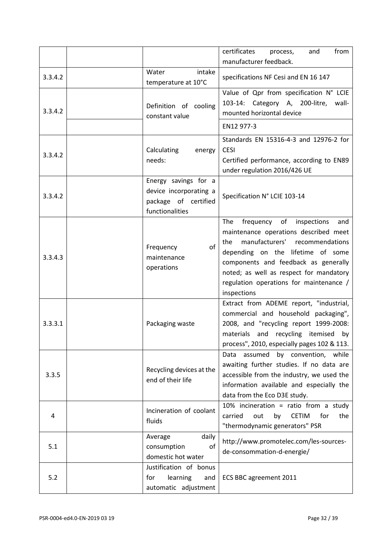|         |                                                                                           | certificates<br>from<br>process,<br>and<br>manufacturer feedback.                                                                                                                                                                                                                                                |
|---------|-------------------------------------------------------------------------------------------|------------------------------------------------------------------------------------------------------------------------------------------------------------------------------------------------------------------------------------------------------------------------------------------------------------------|
| 3.3.4.2 | intake<br>Water<br>temperature at 10°C                                                    | specifications NF Cesi and EN 16 147                                                                                                                                                                                                                                                                             |
| 3.3.4.2 | Definition of cooling<br>constant value                                                   | Value of Qpr from specification N° LCIE<br>103-14:<br>Category A, 200-litre,<br>wall-<br>mounted horizontal device                                                                                                                                                                                               |
|         |                                                                                           | EN12 977-3                                                                                                                                                                                                                                                                                                       |
| 3.3.4.2 | Calculating<br>energy<br>needs:                                                           | Standards EN 15316-4-3 and 12976-2 for<br><b>CESI</b><br>Certified performance, according to EN89<br>under regulation 2016/426 UE                                                                                                                                                                                |
| 3.3.4.2 | Energy savings for a<br>device incorporating a<br>package of certified<br>functionalities | Specification N° LCIE 103-14                                                                                                                                                                                                                                                                                     |
| 3.3.4.3 | of<br>Frequency<br>maintenance<br>operations                                              | frequency<br>of<br>inspections<br>The<br>and<br>maintenance operations described meet<br>manufacturers' recommendations<br>the<br>depending on the lifetime of some<br>components and feedback as generally<br>noted; as well as respect for mandatory<br>regulation operations for maintenance /<br>inspections |
| 3.3.3.1 | Packaging waste                                                                           | Extract from ADEME report, "industrial,<br>commercial and household packaging",<br>2008, and "recycling report 1999-2008:<br>materials and recycling itemised<br>by<br>process", 2010, especially pages 102 & 113.                                                                                               |
| 3.3.5   | Recycling devices at the<br>end of their life                                             | assumed<br>by convention, while<br>Data<br>awaiting further studies. If no data are<br>accessible from the industry, we used the<br>information available and especially the<br>data from the Eco D3E study.                                                                                                     |
| 4       | Incineration of coolant<br>fluids                                                         | 10% incineration = ratio from a study<br>for<br>carried<br>out<br><b>CETIM</b><br>the<br>by<br>"thermodynamic generators" PSR                                                                                                                                                                                    |
| 5.1     | daily<br>Average<br>of<br>consumption<br>domestic hot water                               | http://www.promotelec.com/les-sources-<br>de-consommation-d-energie/                                                                                                                                                                                                                                             |
| 5.2     | Justification of bonus<br>for<br>learning<br>and<br>automatic adjustment                  | ECS BBC agreement 2011                                                                                                                                                                                                                                                                                           |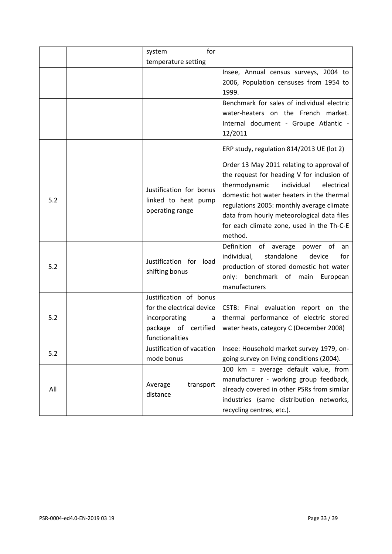|     | for<br>system                                                                                                        |                                                                                                                                                                                                                                                                                                                                      |
|-----|----------------------------------------------------------------------------------------------------------------------|--------------------------------------------------------------------------------------------------------------------------------------------------------------------------------------------------------------------------------------------------------------------------------------------------------------------------------------|
|     | temperature setting                                                                                                  |                                                                                                                                                                                                                                                                                                                                      |
|     |                                                                                                                      | Insee, Annual census surveys, 2004 to<br>2006, Population censuses from 1954 to<br>1999.                                                                                                                                                                                                                                             |
|     |                                                                                                                      | Benchmark for sales of individual electric<br>water-heaters on the French market.<br>Internal document - Groupe Atlantic -<br>12/2011                                                                                                                                                                                                |
|     |                                                                                                                      | ERP study, regulation 814/2013 UE (lot 2)                                                                                                                                                                                                                                                                                            |
| 5.2 | Justification for bonus<br>linked to heat pump<br>operating range                                                    | Order 13 May 2011 relating to approval of<br>the request for heading V for inclusion of<br>thermodynamic<br>individual<br>electrical<br>domestic hot water heaters in the thermal<br>regulations 2005: monthly average climate<br>data from hourly meteorological data files<br>for each climate zone, used in the Th-C-E<br>method. |
| 5.2 | Justification for load<br>shifting bonus                                                                             | Definition of average power of<br>an<br>standalone<br>individual,<br>device<br>for<br>production of stored domestic hot water<br>only: benchmark of main<br>European<br>manufacturers                                                                                                                                                |
| 5.2 | Justification of bonus<br>for the electrical device<br>incorporating<br>a<br>package of certified<br>functionalities | CSTB: Final evaluation report on the<br>thermal performance of electric stored<br>water heats, category C (December 2008)                                                                                                                                                                                                            |
| 5.2 | Justification of vacation<br>mode bonus                                                                              | Insee: Household market survey 1979, on-<br>going survey on living conditions (2004).                                                                                                                                                                                                                                                |
| All | transport<br>Average<br>distance                                                                                     | 100 km = average default value, from<br>manufacturer - working group feedback,<br>already covered in other PSRs from similar<br>industries (same distribution networks,<br>recycling centres, etc.).                                                                                                                                 |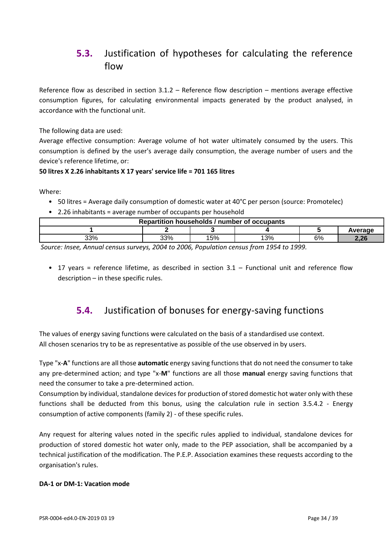# <span id="page-33-0"></span>**5.3.** Justification of hypotheses for calculating the reference flow

Reference flow as described in section 3.1.2 – Reference flow description – mentions average effective consumption figures, for calculating environmental impacts generated by the product analysed, in accordance with the functional unit.

The following data are used:

Average effective consumption: Average volume of hot water ultimately consumed by the users. This consumption is defined by the user's average daily consumption, the average number of users and the device's reference lifetime, or:

#### **50 litres X 2.26 inhabitants X 17 years' service life = 701 165 litres**

Where:

- 50 litres = Average daily consumption of domestic water at 40°C per person (source: Promotelec)
- 2.26 inhabitants = average number of occupants per household

| Repartition households / number of occupants |     |     |    |    |      |  |  |  |
|----------------------------------------------|-----|-----|----|----|------|--|--|--|
| Average                                      |     |     |    |    |      |  |  |  |
| 33%                                          | 33% | '5% | 3% | 6% | חר ר |  |  |  |

*Source: Insee, Annual census surveys, 2004 to 2006, Population census from 1954 to 1999.*

<span id="page-33-1"></span>• 17 years = reference lifetime, as described in section 3.1 – Functional unit and reference flow description – in these specific rules.

# **5.4.** Justification of bonuses for energy-saving functions

The values of energy saving functions were calculated on the basis of a standardised use context. All chosen scenarios try to be as representative as possible of the use observed in by users.

Type "x-**A**" functions are all those **automatic** energy saving functions that do not need the consumer to take any pre-determined action; and type "x-**M**" functions are all those **manual** energy saving functions that need the consumer to take a pre-determined action.

Consumption by individual, standalone devices for production of stored domestic hot water only with these functions shall be deducted from this bonus, using the calculation rule in section 3.5.4.2 - Energy consumption of active components (family 2) - of these specific rules.

Any request for altering values noted in the specific rules applied to individual, standalone devices for production of stored domestic hot water only, made to the PEP association, shall be accompanied by a technical justification of the modification. The P.E.P. Association examines these requests according to the organisation's rules.

#### **DA-1 or DM-1: Vacation mode**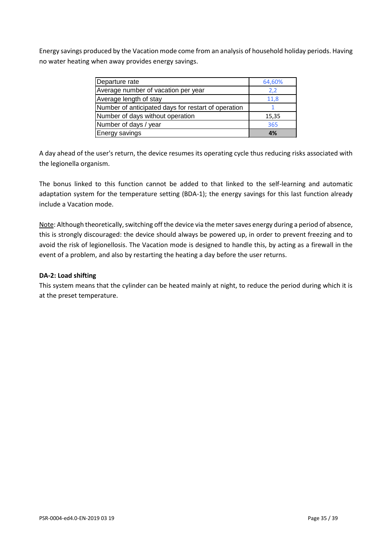Energy savings produced by the Vacation mode come from an analysis of household holiday periods. Having no water heating when away provides energy savings.

| Departure rate                                      | 64,60% |
|-----------------------------------------------------|--------|
| Average number of vacation per year                 | 2,2    |
| Average length of stay                              | 11,8   |
| Number of anticipated days for restart of operation |        |
| Number of days without operation                    | 15,35  |
| Number of days / year                               | 365    |
| <b>Energy savings</b>                               | 4%     |

A day ahead of the user's return, the device resumes its operating cycle thus reducing risks associated with the legionella organism.

The bonus linked to this function cannot be added to that linked to the self-learning and automatic adaptation system for the temperature setting (BDA-1); the energy savings for this last function already include a Vacation mode.

Note: Although theoretically, switching off the device via the meter saves energy during a period of absence, this is strongly discouraged: the device should always be powered up, in order to prevent freezing and to avoid the risk of legionellosis. The Vacation mode is designed to handle this, by acting as a firewall in the event of a problem, and also by restarting the heating a day before the user returns.

#### **DA-2: Load shifting**

This system means that the cylinder can be heated mainly at night, to reduce the period during which it is at the preset temperature.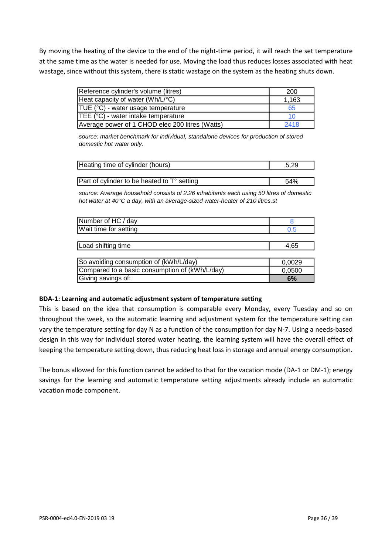By moving the heating of the device to the end of the night-time period, it will reach the set temperature at the same time as the water is needed for use. Moving the load thus reduces losses associated with heat wastage, since without this system, there is static wastage on the system as the heating shuts down.

| Reference cylinder's volume (litres)            | 200   |
|-------------------------------------------------|-------|
| Heat capacity of water (Wh/L/°C)                | 1,163 |
| $TUE (°C)$ - water usage temperature            | 65    |
| TEE (°C) - water intake temperature             | 10    |
| Average power of 1 CHOD elec 200 litres (Watts) | 2418  |

*source: market benchmark for individual, standalone devices for production of stored domestic hot water only.*

| Heating time of cylinder (hours)            |     |
|---------------------------------------------|-----|
|                                             |     |
| Part of cylinder to be heated to T° setting | 54% |

*source: Average household consists of 2.26 inhabitants each using 50 litres of domestic hot water at 40°C a day, with an average-sized water-heater of 210 litres.st* 

| Number of HC / day                             | 8      |
|------------------------------------------------|--------|
| Wait time for setting                          | 0.5    |
|                                                |        |
| Load shifting time                             | 4,65   |
|                                                |        |
| So avoiding consumption of (kWh/L/day)         | 0,0029 |
| Compared to a basic consumption of (kWh/L/day) | 0,0500 |
| Giving savings of:                             | 6%     |

#### **BDA-1: Learning and automatic adjustment system of temperature setting**

This is based on the idea that consumption is comparable every Monday, every Tuesday and so on throughout the week, so the automatic learning and adjustment system for the temperature setting can vary the temperature setting for day N as a function of the consumption for day N-7. Using a needs-based design in this way for individual stored water heating, the learning system will have the overall effect of keeping the temperature setting down, thus reducing heat loss in storage and annual energy consumption.

The bonus allowed for this function cannot be added to that for the vacation mode (DA-1 or DM-1); energy savings for the learning and automatic temperature setting adjustments already include an automatic vacation mode component.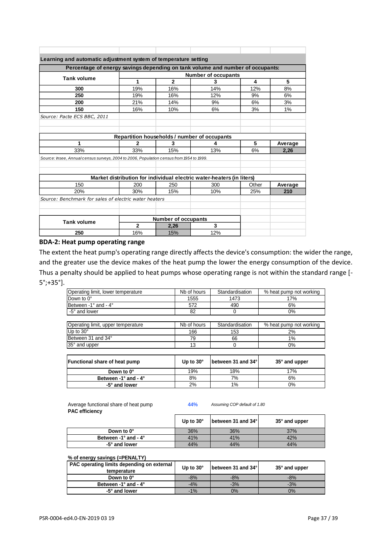| Learning and automatic adjustment system of temperature setting                          |              |                                              |                                                                       |       |         |
|------------------------------------------------------------------------------------------|--------------|----------------------------------------------|-----------------------------------------------------------------------|-------|---------|
| Percentage of energy savings depending on tank volume and number of occupants:           |              |                                              |                                                                       |       |         |
| <b>Tank volume</b>                                                                       |              |                                              | <b>Number of occupants</b>                                            |       |         |
|                                                                                          | 1            | $\mathbf{2}$                                 | 3                                                                     | 4     | 5       |
| 300                                                                                      | 19%          | 16%                                          | 14%                                                                   | 12%   | 8%      |
| 250                                                                                      | 19%          | 16%                                          | 12%                                                                   | 9%    | 6%      |
| 200                                                                                      | 21%          | 14%                                          | 9%                                                                    | 6%    | 3%      |
| 150                                                                                      | 16%          | 10%                                          | 6%                                                                    | 3%    | 1%      |
| Source: Pacte ECS BBC, 2011                                                              |              |                                              |                                                                       |       |         |
|                                                                                          |              |                                              |                                                                       |       |         |
|                                                                                          |              | Repartition households / number of occupants |                                                                       |       |         |
| 1                                                                                        | 2            | 3                                            | 4                                                                     | 5     | Average |
| 33%                                                                                      | 33%          | 15%                                          | 13%                                                                   | 6%    | 2,26    |
| Source: Insee, Annual census surveys, 2004 to 2006, Population census from 1954 to 1999. |              |                                              |                                                                       |       |         |
|                                                                                          |              |                                              |                                                                       |       |         |
|                                                                                          |              |                                              |                                                                       |       |         |
|                                                                                          |              |                                              | Market distribution for individual electric water-heaters (in liters) |       |         |
| 150                                                                                      | 200          | 250                                          | 300                                                                   | Other | Average |
| 20%                                                                                      | 30%          | 15%                                          | 10%                                                                   | 25%   | 210     |
| Source: Benchmark for sales of electric water heaters                                    |              |                                              |                                                                       |       |         |
|                                                                                          |              |                                              |                                                                       |       |         |
| <b>Tank volume</b>                                                                       |              | <b>Number of occupants</b>                   |                                                                       |       |         |
|                                                                                          | $\mathbf{2}$ | 2,26                                         | 3                                                                     |       |         |
| 250                                                                                      | 16%          | 15%                                          | 12%                                                                   |       |         |
|                                                                                          |              |                                              |                                                                       |       |         |

#### **BDA-2: Heat pump operating range**

The extent the heat pump's operating range directly affects the device's consumption: the wider the range, and the greater use the device makes of the heat pump the lower the energy consumption of the device. Thus a penalty should be applied to heat pumps whose operating range is not within the standard range [- 5°;+35°].

| Operating limit, lower temperature    | Nb of hours | Standardisation    | % heat pump not working |
|---------------------------------------|-------------|--------------------|-------------------------|
| Down to 0°                            | 1555        | 1473               | 17%                     |
| Between -1° and - 4°                  | 572         | 490                | 6%                      |
| -5° and lower                         | 82          | $\mathbf 0$        | $0\%$                   |
|                                       |             |                    |                         |
| Operating limit, upper temperature    | Nb of hours | Standardisation    | % heat pump not working |
| Up to 30°                             | 166         | 153                | 2%                      |
| Between 31 and 34°                    | 79          | 66                 | 1%                      |
| 35° and upper                         | 13          | $\Omega$           | $0\%$                   |
|                                       |             |                    |                         |
| <b>Functional share of heat pump</b>  | Up to 30°   | between 31 and 34° | 35° and upper           |
| Down to 0°                            | 19%         | 18%                | 17%                     |
| Between -1 $\degree$ and -4 $\degree$ | 8%          | 7%                 | 6%                      |
|                                       |             | 1%                 | $0\%$                   |

Average functional share of heat pump **44%** *Assuming COP default of 1.80* **PAC efficiency**

|                                       | Up to $30^\circ$ | <b>Ibetween 31 and 34°I</b> | $35^\circ$ and upper |
|---------------------------------------|------------------|-----------------------------|----------------------|
| Down to 0°                            | 36%              | 36%                         | 37%                  |
| Between -1 $\degree$ and -4 $\degree$ | 41%              | 41%                         | 42%                  |
| -5° and lower                         | 44%              | 44%                         | 44%                  |

#### **% of energy savings (=PENALTY)**

| <b>PAC operating limits depending on external</b> | Up to $30^\circ$ | <b>Ibetween 31 and 34°</b> | $35^\circ$ and upper |
|---------------------------------------------------|------------------|----------------------------|----------------------|
| temperature                                       |                  |                            |                      |
| Down to 0°                                        | $-8%$            | $-8%$                      | $-8%$                |
| Between -1 $\degree$ and -4 $\degree$             | $-4%$            | $-3%$                      | $-3%$                |
| -5° and lower                                     | $-1%$            | 0%                         | 0%                   |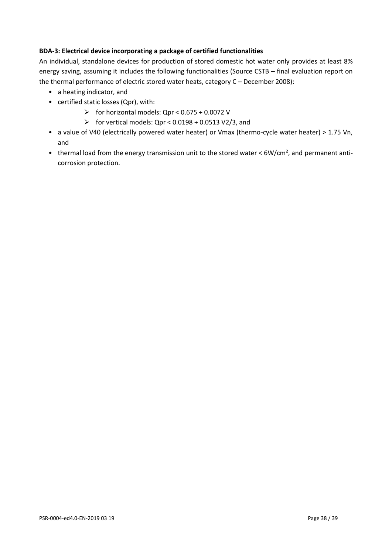#### **BDA-3: Electrical device incorporating a package of certified functionalities**

An individual, standalone devices for production of stored domestic hot water only provides at least 8% energy saving, assuming it includes the following functionalities (Source CSTB – final evaluation report on the thermal performance of electric stored water heats, category C – December 2008):

- a heating indicator, and
- certified static losses (Qpr), with:
	- $\triangleright$  for horizontal models: Qpr < 0.675 + 0.0072 V
	- $\triangleright$  for vertical models: Qpr < 0.0198 + 0.0513 V2/3, and
- a value of V40 (electrically powered water heater) or Vmax (thermo-cycle water heater) > 1.75 Vn, and
- thermal load from the energy transmission unit to the stored water < 6W/cm<sup>2</sup>, and permanent anticorrosion protection.